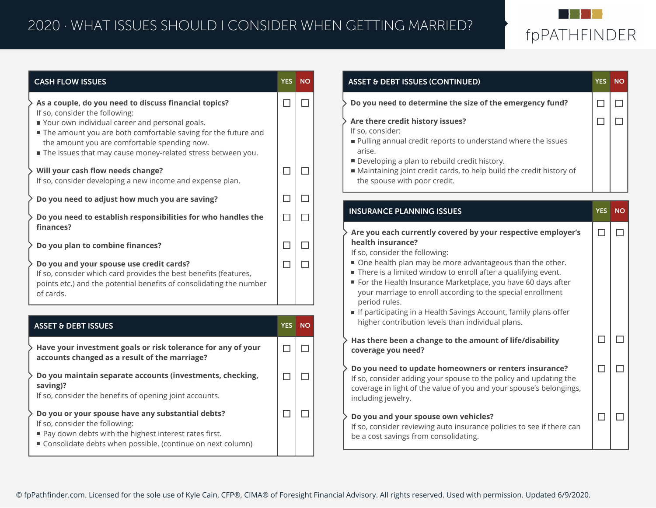## 2020 · WHAT ISSUES SHOULD I CONSIDER WHEN GETTING MARRIED?



| <b>CASH FLOW ISSUES</b>                                                                                                                                                                                                                                    |            | YES NO    | <b>ASSET &amp; DEBT ISSUES (CONTINUED)</b>                                                                                                                                                                                                                                | <b>YES</b> NO    |  |
|------------------------------------------------------------------------------------------------------------------------------------------------------------------------------------------------------------------------------------------------------------|------------|-----------|---------------------------------------------------------------------------------------------------------------------------------------------------------------------------------------------------------------------------------------------------------------------------|------------------|--|
| As a couple, do you need to discuss financial topics?<br>If so, consider the following:<br>Your own individual career and personal goals.<br>The amount you are both comfortable saving for the future and<br>the amount you are comfortable spending now. | $\Box$     | $\Box$    | Do you need to determine the size of the emergency fund?<br>Are there credit history issues?<br>If so, consider:<br>Pulling annual credit reports to understand where the issues                                                                                          | $\Box$<br>$\Box$ |  |
| The issues that may cause money-related stress between you.<br>Will your cash flow needs change?<br>If so, consider developing a new income and expense plan.                                                                                              | $\Box$     | L         | arise.<br>Developing a plan to rebuild credit history.<br>Maintaining joint credit cards, to help build the credit history of<br>the spouse with poor credit.                                                                                                             |                  |  |
| Do you need to adjust how much you are saving?                                                                                                                                                                                                             | $\Box$     | $\Box$    |                                                                                                                                                                                                                                                                           |                  |  |
| Do you need to establish responsibilities for who handles the<br>finances?                                                                                                                                                                                 | $\Box$     | □         | <b>INSURANCE PLANNING ISSUES</b>                                                                                                                                                                                                                                          | YES NO           |  |
| Do you plan to combine finances?                                                                                                                                                                                                                           | $\Box$     | $\Box$    | Are you each currently covered by your respective employer's<br>health insurance?<br>If so, consider the following:                                                                                                                                                       | $\Box$           |  |
| Do you and your spouse use credit cards?<br>If so, consider which card provides the best benefits (features,<br>points etc.) and the potential benefits of consolidating the number<br>of cards.                                                           | $\Box$     | $\Box$    | One health plan may be more advantageous than the other.<br>There is a limited window to enroll after a qualifying event.<br>For the Health Insurance Marketplace, you have 60 days after<br>your marriage to enroll according to the special enrollment<br>period rules. |                  |  |
|                                                                                                                                                                                                                                                            |            |           | If participating in a Health Savings Account, family plans offer<br>higher contribution levels than individual plans.                                                                                                                                                     |                  |  |
| <b>ASSET &amp; DEBT ISSUES</b>                                                                                                                                                                                                                             | <b>YES</b> | <b>NO</b> | Has there been a change to the amount of life/disability                                                                                                                                                                                                                  | $\Box$           |  |
| Have your investment goals or risk tolerance for any of your<br>accounts changed as a result of the marriage?                                                                                                                                              | $\Box$     | ⊔         | coverage you need?                                                                                                                                                                                                                                                        |                  |  |
| Do you maintain separate accounts (investments, checking,<br>saving)?<br>If so, consider the benefits of opening joint accounts.                                                                                                                           | $\Box$     | П         | Do you need to update homeowners or renters insurance?<br>If so, consider adding your spouse to the policy and updating the<br>coverage in light of the value of you and your spouse's belongings,<br>including jewelry.                                                  | $\Box$           |  |
| Do you or your spouse have any substantial debts?<br>If so, consider the following:<br>Pay down debts with the highest interest rates first.<br>Consolidate debts when possible. (continue on next column)                                                 | $\Box$     | $\Box$    | Do you and your spouse own vehicles?<br>If so, consider reviewing auto insurance policies to see if there can<br>be a cost savings from consolidating.                                                                                                                    | □                |  |